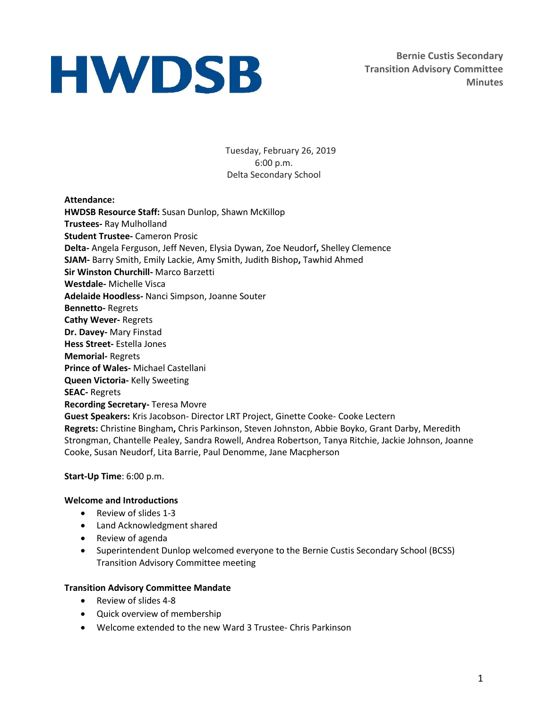**Bernie Custis Secondary Transition Advisory Committee Minutes**

Tuesday, February 26, 2019 6:00 p.m. Delta Secondary School

**Attendance: HWDSB Resource Staff:** Susan Dunlop, Shawn McKillop **Trustees-** Ray Mulholland **Student Trustee-** Cameron Prosic **Delta-** Angela Ferguson, Jeff Neven, Elysia Dywan, Zoe Neudorf**,** Shelley Clemence **SJAM-** Barry Smith, Emily Lackie, Amy Smith, Judith Bishop**,** Tawhid Ahmed **Sir Winston Churchill-** Marco Barzetti **Westdale-** Michelle Visca **Adelaide Hoodless-** Nanci Simpson, Joanne Souter **Bennetto-** Regrets **Cathy Wever-** Regrets **Dr. Davey-** Mary Finstad **Hess Street-** Estella Jones **Memorial-** Regrets **Prince of Wales-** Michael Castellani **Queen Victoria-** Kelly Sweeting **SEAC-** Regrets **Recording Secretary-** Teresa Movre **Guest Speakers:** Kris Jacobson- Director LRT Project, Ginette Cooke- Cooke Lectern **Regrets:** Christine Bingham**,** Chris Parkinson, Steven Johnston, Abbie Boyko, Grant Darby, Meredith Strongman, Chantelle Pealey, Sandra Rowell, Andrea Robertson, Tanya Ritchie, Jackie Johnson, Joanne Cooke, Susan Neudorf, Lita Barrie, Paul Denomme, Jane Macpherson

**Start-Up Time**: 6:00 p.m.

### **Welcome and Introductions**

- Review of slides 1-3
- Land Acknowledgment shared
- Review of agenda
- Superintendent Dunlop welcomed everyone to the Bernie Custis Secondary School (BCSS) Transition Advisory Committee meeting

### **Transition Advisory Committee Mandate**

- Review of slides 4-8
- Quick overview of membership
- Welcome extended to the new Ward 3 Trustee- Chris Parkinson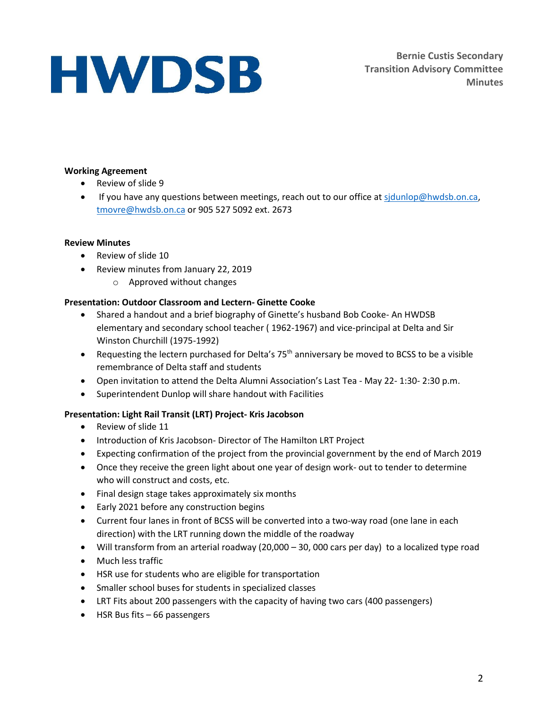**Bernie Custis Secondary Transition Advisory Committee Minutes**

### **Working Agreement**

- Review of slide 9
- **If you have any questions between meetings, reach out to our office at sidunlop@hwdsb.on.ca,** [tmovre@hwdsb.on.ca](mailto:tmovre@hwdsb.on.ca) or 905 527 5092 ext. 2673

### **Review Minutes**

- Review of slide 10
- Review minutes from January 22, 2019
	- o Approved without changes

## **Presentation: Outdoor Classroom and Lectern- Ginette Cooke**

- Shared a handout and a brief biography of Ginette's husband Bob Cooke- An HWDSB elementary and secondary school teacher ( 1962-1967) and vice-principal at Delta and Sir Winston Churchill (1975-1992)
- Requesting the lectern purchased for Delta's  $75<sup>th</sup>$  anniversary be moved to BCSS to be a visible remembrance of Delta staff and students
- Open invitation to attend the Delta Alumni Association's Last Tea May 22- 1:30- 2:30 p.m.
- Superintendent Dunlop will share handout with Facilities

## **Presentation: Light Rail Transit (LRT) Project- Kris Jacobson**

- Review of slide 11
- Introduction of Kris Jacobson- Director of The Hamilton LRT Project
- Expecting confirmation of the project from the provincial government by the end of March 2019
- Once they receive the green light about one year of design work- out to tender to determine who will construct and costs, etc.
- Final design stage takes approximately six months
- Early 2021 before any construction begins
- Current four lanes in front of BCSS will be converted into a two-way road (one lane in each direction) with the LRT running down the middle of the roadway
- Will transform from an arterial roadway (20,000 30, 000 cars per day) to a localized type road
- Much less traffic
- HSR use for students who are eligible for transportation
- Smaller school buses for students in specialized classes
- LRT Fits about 200 passengers with the capacity of having two cars (400 passengers)
- HSR Bus fits 66 passengers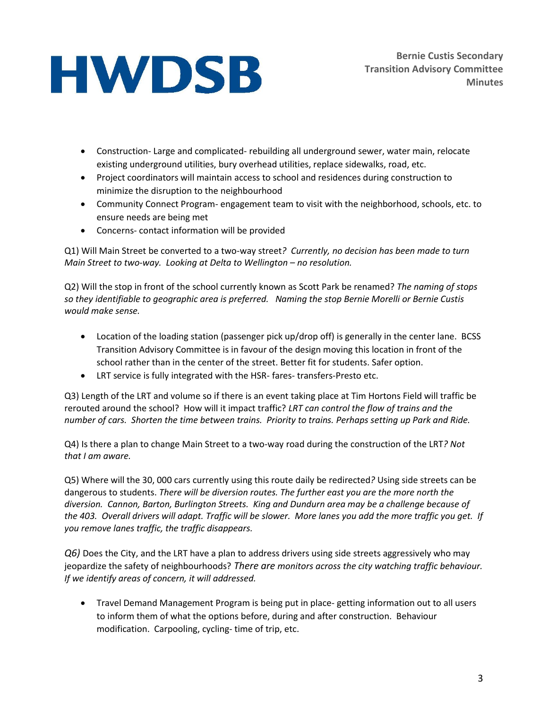- Construction- Large and complicated- rebuilding all underground sewer, water main, relocate existing underground utilities, bury overhead utilities, replace sidewalks, road, etc.
- Project coordinators will maintain access to school and residences during construction to minimize the disruption to the neighbourhood
- Community Connect Program- engagement team to visit with the neighborhood, schools, etc. to ensure needs are being met
- Concerns- contact information will be provided

Q1) Will Main Street be converted to a two-way street*? Currently, no decision has been made to turn Main Street to two-way. Looking at Delta to Wellington – no resolution.* 

Q2) Will the stop in front of the school currently known as Scott Park be renamed? *The naming of stops so they identifiable to geographic area is preferred. Naming the stop Bernie Morelli or Bernie Custis would make sense.*

- Location of the loading station (passenger pick up/drop off) is generally in the center lane. BCSS Transition Advisory Committee is in favour of the design moving this location in front of the school rather than in the center of the street. Better fit for students. Safer option.
- LRT service is fully integrated with the HSR- fares- transfers-Presto etc.

Q3) Length of the LRT and volume so if there is an event taking place at Tim Hortons Field will traffic be rerouted around the school? How will it impact traffic? *LRT can control the flow of trains and the number of cars. Shorten the time between trains. Priority to trains. Perhaps setting up Park and Ride.*

Q4) Is there a plan to change Main Street to a two-way road during the construction of the LRT*? Not that I am aware.* 

Q5) Where will the 30, 000 cars currently using this route daily be redirected*?* Using side streets can be dangerous to students. *There will be diversion routes. The further east you are the more north the diversion. Cannon, Barton, Burlington Streets. King and Dundurn area may be a challenge because of the 403. Overall drivers will adapt. Traffic will be slower. More lanes you add the more traffic you get. If you remove lanes traffic, the traffic disappears.* 

*Q6)* Does the City, and the LRT have a plan to address drivers using side streets aggressively who may jeopardize the safety of neighbourhoods? *There are monitors across the city watching traffic behaviour. If we identify areas of concern, it will addressed.* 

 Travel Demand Management Program is being put in place- getting information out to all users to inform them of what the options before, during and after construction. Behaviour modification. Carpooling, cycling- time of trip, etc.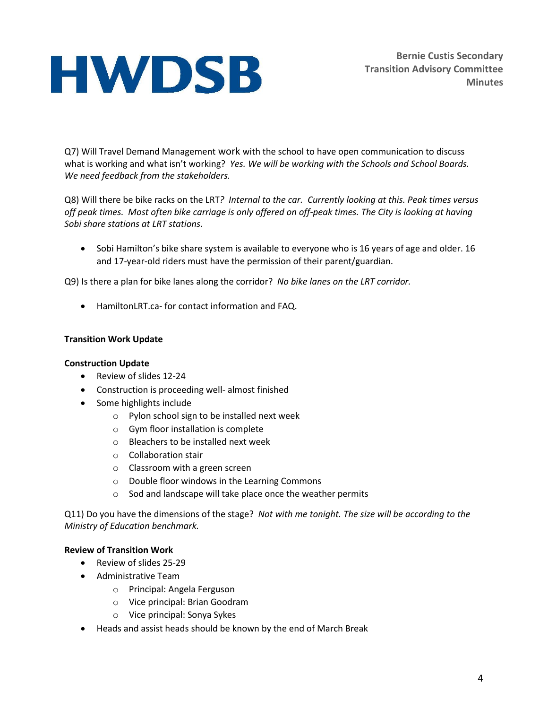**Bernie Custis Secondary Transition Advisory Committee Minutes**

Q7) Will Travel Demand Management work with the school to have open communication to discuss what is working and what isn't working? *Yes. We will be working with the Schools and School Boards. We need feedback from the stakeholders.*

Q8) Will there be bike racks on the LRT*? Internal to the car. Currently looking at this. Peak times versus off peak times. Most often bike carriage is only offered on off-peak times. The City is looking at having Sobi share stations at LRT stations.*

• Sobi Hamilton's bike share system is available to everyone who is 16 years of age and older. 16 and 17-year-old riders must have the permission of their parent/guardian.

Q9) Is there a plan for bike lanes along the corridor? *No bike lanes on the LRT corridor.* 

HamiltonLRT.ca- for contact information and FAQ.

#### **Transition Work Update**

#### **Construction Update**

- Review of slides 12-24
- Construction is proceeding well- almost finished
- Some highlights include
	- o Pylon school sign to be installed next week
	- o Gym floor installation is complete
	- o Bleachers to be installed next week
	- o Collaboration stair
	- o Classroom with a green screen
	- o Double floor windows in the Learning Commons
	- o Sod and landscape will take place once the weather permits

Q11) Do you have the dimensions of the stage? *Not with me tonight. The size will be according to the Ministry of Education benchmark.*

#### **Review of Transition Work**

- Review of slides 25-29
- Administrative Team
	- o Principal: Angela Ferguson
	- o Vice principal: Brian Goodram
	- o Vice principal: Sonya Sykes
- Heads and assist heads should be known by the end of March Break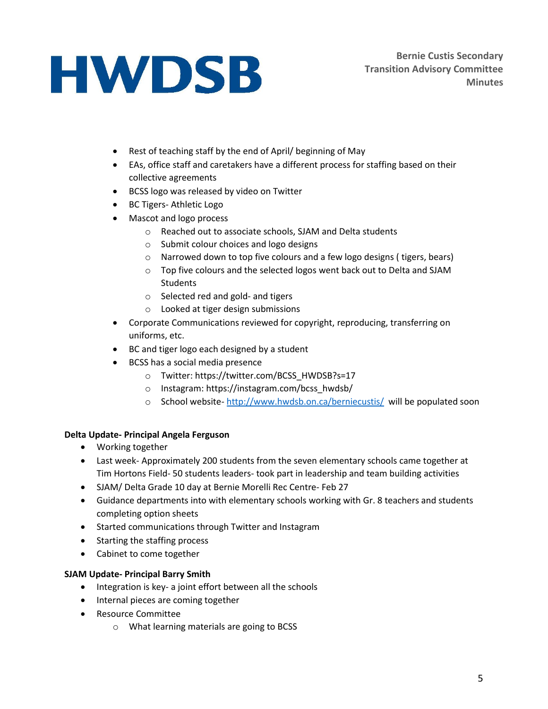- Rest of teaching staff by the end of April/ beginning of May
- EAs, office staff and caretakers have a different process for staffing based on their collective agreements
- **•** BCSS logo was released by video on Twitter
- BC Tigers- Athletic Logo
- Mascot and logo process
	- o Reached out to associate schools, SJAM and Delta students
	- o Submit colour choices and logo designs
	- o Narrowed down to top five colours and a few logo designs ( tigers, bears)
	- o Top five colours and the selected logos went back out to Delta and SJAM **Students**
	- o Selected red and gold- and tigers
	- o Looked at tiger design submissions
- Corporate Communications reviewed for copyright, reproducing, transferring on uniforms, etc.
- BC and tiger logo each designed by a student
- BCSS has a social media presence
	- o Twitter: https://twitter.com/BCSS\_HWDSB?s=17
	- o Instagram: https://instagram.com/bcss\_hwdsb/
	- o School website- <http://www.hwdsb.on.ca/berniecustis/>will be populated soon

# **Delta Update- Principal Angela Ferguson**

- Working together
- Last week- Approximately 200 students from the seven elementary schools came together at Tim Hortons Field- 50 students leaders- took part in leadership and team building activities
- SJAM/ Delta Grade 10 day at Bernie Morelli Rec Centre- Feb 27
- Guidance departments into with elementary schools working with Gr. 8 teachers and students completing option sheets
- Started communications through Twitter and Instagram
- Starting the staffing process
- Cabinet to come together

# **SJAM Update- Principal Barry Smith**

- Integration is key- a joint effort between all the schools
- Internal pieces are coming together
- Resource Committee
	- o What learning materials are going to BCSS